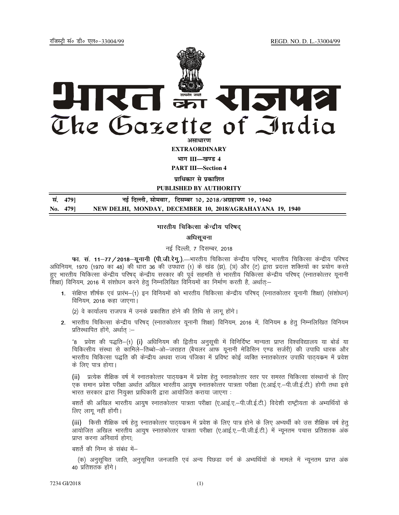jftLVªh laö Mhö ,yö&33004@99 REGD. NO. D. L.-33004/99



**EXTRAORDINARY**

**Hkkx III—[k.M 4**

**PART III—Section 4** 

**<u>पाधिकार से पकाशित</u>** 

**PUBLISHED BY AUTHORITY**

| सं. 479] | नई दिल्ली, सोमवार, दिसम्बर 10, 2018/अग्रहायण 19, 1940    |
|----------|----------------------------------------------------------|
| No. 479] | NEW DELHI, MONDAY, DECEMBER 10, 2018/AGRAHAYANA 19, 1940 |

#### भारतीय चिकित्सा केन्द्रीय परिषद

## अधिसूचना

### नई दिल्ली, 7 दिसम्बर, 2018

फा. सं. 11—77 / 2018—यूनानी (पी.जी.रेगु.).—भारतीय चिकित्सा केन्द्रीय परिषद्, भारतीय चिकित्सा केन्द्रीय परिषद अधिनियम, 1970 (1970 का 48) की धारा 36 की उपधारा (1) के खंड (झ), (ञ) और (ट) द्वारा प्रदत्त शक्तियों का प्रयोग करते हुए भारतीय चिकित्सा केन्द्रीय परिषद् केन्द्रीय सरकार की पूर्व सहमति से भारतीय चिकित्सा केन्द्रीय परिषद् (स्नातकोत्तर यूनानी शिक्षा) विनियम, 2016 में संशोधन करने हेतू निम्नलिखित विनियमों का निर्माण करती है, अर्थात्≔

1. संक्षिप्त शीर्षक एवं प्रारंभ-(1) इन विनियमों को भारतीय चिकित्सा केन्द्रीय परिषद (स्नातकोत्तर यूनानी शिक्षा) (संशोधन) विनियम, 2018 कहा जाएगा।

(2) वे कार्यालय राजपत्र में उनके प्रकाशित होने की तिथि से लागू होंगे।

2. भारतीय चिकित्सा केन्द्रीय परिषद् (स्नातकोत्तर यूनानी शिक्षा) विनियम, 2016 में, विनियम 8 हेत् निम्नलिखित विनियम प्रतिस्थापित होंगे, अर्थात :-

"8 प्रवेश की पद्धति—(1) (i) अधिनियम की द्वितीय अनुसूची में विनिर्दिष्ट मान्यता प्राप्त विश्वविद्यालय या बोर्ड या f्चिकित्सीय संस्था से कामिले—तिब्बो—ओ—जराहत (बैचलर आफ यूनानी मेडिसिन एण्ड सर्जरी) की उपाधि धारक और भारतीय चिकित्सा पद्धति की केन्द्रीय अथवा राज्य पंजिका में प्रविष्ट कोई व्यक्ति स्नातकोत्तर उपाधि पाठयकम में प्रवेश के लिए पात्र होगा।

(ii) ) प्रत्येक शैक्षिक वर्ष में स्नातकोत्तर पाठ्यक्रम में प्रवेश हेत् स्नातकोत्तर स्तर पर समस्त चिकित्सा संस्थानों के लिए एक समान प्रवेश परीक्षा अर्थात अखिल भारतीय आयुष स्नातकोत्तर पात्रता परीक्षा (ए.आई.ए.–पी.जी.ई.टी.) होगी तथा इसे भारत सरकार द्वारा नियुक्त प्राधिकारी द्वारा आयोजित कराया जाएगा :

बशर्ते की अखिल भारतीय आयुष स्नातकोत्तर पात्रता परीक्षा (ए.आई.ए.–पी.जी.ई.टी.) विदेशी राष्ट्रीयता के अभ्यर्थियों के लिए लागू नहीं होंगी।

(iii) किसी शैक्षिक वर्ष हेतु स्नातकोत्तर पाठयक्रम में प्रवेश के लिए पात्र होने के लिए अभ्यर्थी को उस शैक्षिक वर्ष हेत आयोजित अखिल भारतीय आयुष स्नातकोत्तर पात्रता परीक्षा (ए.आई.ए.–पी.जी.ई.टी.) में न्यूनतम पचास प्रतिशतक अंक प्राप्त करना अनिवार्य होगा:

बशर्ते की निम्न के संबंध में–

(क) अनुसुचित जाति, अनुसुचित जनजाति एवं अन्य पिछड़ा वर्ग के अभ्यर्थियों के मामले में न्यूनतम प्राप्त अंक 40 प्रतिशतक होंगे।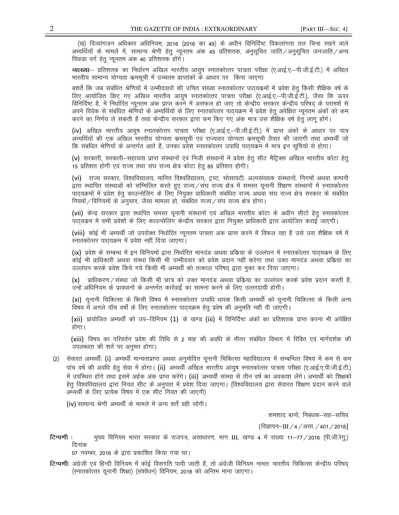(ख) दिव्यांगजन अधिकार अधिनियम, 2016 (2016 का 49) के अधीन विनिर्दिष्ट विकलांगता तल चिन्ह रखने वाले अभ्यर्थियों के मामलें में, सामान्य श्रेणी हेतु न्यूनतम अंक 45 प्रतिशतक, अनुसुचित जाति ⁄ अनुसुचित जनजाति ⁄ अन्य पिछड़ा वर्ग हेतू न्यूनतम अंक 40 प्रतिशतक होंगे।

व्याख्या— प्रतिशतक का निर्धारण अखिल भारतीय आयुष स्नातकोत्तर पात्रता परीक्षा (ए.आई.ए.–पी.जी.ई.टी.) में अखिल भारतीय सामान्य योग्यता कमसूची में उच्चतम प्राप्तांकों के आधार पर किया जाएगाः

बशर्ते कि जब संबंधित श्रेणियों में उम्मीदवारों की उचित संख्या स्नातकोत्तर पाठ्यकमों में प्रवेश हेतु किसी शैक्षिक वर्ष के लिए आयोजित किए गए अखिल भारतीय आयुष स्नातकोत्तर पात्रता परीक्षा (ए.आई.ए.–पी.जी.ई.टी.), जैसा कि ऊपर विनिर्दिष्ट है, में निर्धारित न्यूनतम अंक प्राप्त करने में असफल हो जाए तो केन्द्रीय सरकार केन्द्रीय परिषद् के परामर्श से अपने विवेक से संबंधित श्रेणियों के अभ्यर्थियों के लिए स्नातकोत्तर पाठयक्रम में प्रवेश हेतु अपेक्षित न्यूनतम अंकों को कम करने का निर्णय ले सकती है तथा केन्द्रीय सरकार द्वारा कम किए गए अंक मात्र उस शैक्षिक वर्ष हेतु लागू होंगे।

(iv) अखिल भारतीय आयुष स्नातकोत्तर पात्रता परीक्षा (ए.आई.ए.–पी.जी.ई.टी.) में प्राप्त अंकों के आधार पर पात्र अभ्यर्थियों की एक अखिल भारतीय योग्यता कमसूची एवं राज्यवार योग्यता कमसूची तैयार की जाएगी तथा अभ्यर्थी जो कि संबंधित श्रेणियों के अन्तर्गत आते हैं, उनका प्रवेश स्नातकोत्तर उपाधि पाठ्यकम में मात्र इन सूचियों से होगा।

(v) सरकारी, सरकारी–सहायता प्राप्त संस्थानों एवं निजी संस्थानों में प्रवेश हेतु सीट मैट्रिक्स अखिल भारतीय कोटा हेत 15 प्रतिशत होगी एवं राज्य तथा संघ राज्य क्षेत्र कोटा हेतु 85 प्रतिशत होगी।

(vi) राज्य सरकार, विश्वविद्यालय, मानित विश्वविद्यालय, ट्रस्ट, सोसायटी, अल्पसंख्यक संस्थानों, निगमों अथवा कम्पनी द्वारा स्थापित संस्थाओं को सम्मिलित करते हुए राज्य/संघ राज्य क्षेत्र में समस्त यूनानी शिक्षण संस्थानों में स्नातकोत्तर पाठ्यक्रमों में प्रवेश हेतू काउन्सेलिंग के लिए नियुक्त प्राधिकारी संबंधित राज्य अथवा संघ राज्य क्षेत्र सरकार के संबंधित नियमों / विनियमों के अनुसार, जैसा मामला हो, संबंधित राज्य / संघ राज्य क्षेत्र होगा।

(vii) केन्द्र सरकार द्वारा स्थापित समस्त यूनानी संस्थानों एवं अखिल भारतीय कोटा के अधीन सीटों हेतु स्नातकोत्तर पाठ्यक्रम में सभी प्रवेशों के लिए काउन्सेलिंग केन्द्रीय सरकार द्वारा नियुक्त प्राधिकारी द्वारा आयोजित कराई जाएगी।

(viii) कोई भी अभ्यर्थी जो उपरोक्त निर्धारित न्यूनतम पात्रता अंक प्राप्त करने में विफल रहा है उसे उस शैक्षिक वर्ष में स्नातकोत्तर पाठयक्रम में प्रवेश नहीं दिया जाएगा।

(ix) प्रवेश के सम्बन्ध में इन विनियमों द्वारा निर्धारित मानदंड अथवा प्रकिया के उल्लंघन में स्नातकोत्तर पाठ्यकम के लिए कोई भी प्राधिकारी अथवा संस्था किसी भी उम्मीदवार को प्रवेश प्रदान नहीं करेगा तथा उक्त मानदंड अथवा प्रकिया का उल्लंघन करके प्रवेश किये गये किसी भी अभ्यर्थी को तत्काल परिषद् द्वारा मुक्त कर दिया जाएगा।

(x) प्राधिकरण / संस्था जो किसी भी छात्र को उक्त मानदंड अथवा प्रकिया का उल्लंघन करके प्रवेश प्रदान करती है, उन्हें अधिनियम के प्रावधानों के अन्तर्गत कार्रवाई का सामना करने के लिए उत्तरदायी होगी।

(xi) यूनानी चिकित्सा के किसी विषय में स्नातकोत्तर उपाधि धारक किसी अभ्यर्थी को यूनानी चिकित्सा के किसी अन्य विषय में अगले पॉच वर्षों के लिए स्नातकोत्तर पाठ्यक्रम हेतु प्रवेष की अनुमति नहीं दी जाएंगी।

(xii) प्रायोजित अभ्यर्थी को उप–विनियम (1) के खण्ड (iii) में विनिर्दिष्ट अंकों का प्रतिशतक प्राप्त करना भी अपेक्षित होगा ।

(xiii) विषय का परिवर्तन प्रवेश की तिथि से 2 माह की अवधि के भीतर संबंधित विभाग में रिक्ति एवं मार्गदर्शक की उपलब्धता की शर्त पर अनुमत होगा।

(2) सेवारत अभ्यर्थी: (i) अभ्यर्थी मान्यताप्राप्त अथवा अनुमोदित यूनानी चिकित्सा महाविद्यालय में सम्बन्धित विषय में कम से कम पांच वर्ष की अवधि हेतु सेवा में होगा। (ii) अभ्यर्थी अखिल भारतीय आयुष स्नातकोत्तर पात्रता परीक्षा (ए.आई.ए.पी.जी.ई.टी.) में उपस्थित होंगे तथा इसमें अर्हक अंक प्राप्त करेंगे। (iii) अभ्यर्थी संस्था से तीन वर्ष का अवकाश लेंगे। अभ्यर्थी को शिक्षकों हेतु विश्वविद्यालय द्वारा नियत सीट के अनुपात में प्रवेश दिया जाएगा। (विश्वविद्यालय द्वारा सेवारत शिक्षण प्रदान करने वाले अभ्यर्थी के लिए प्रत्येक विषय में एक सीट नियत की जाएगी)

(iv) सामान्य श्रेणी अभ्यर्थी के मामले में अन्य शर्तें वही रहेंगी।

शमशाद बानो, निबंधक–सह–सचिव

[विज्ञापन–III / 4 / असा. / 401 / 2018]

मुख्य विनियम भारत सरकार के राजपत्र, असाधारण, भाग III, खण्ड 4 में संख्या 11–77 / 2016 (पी.जी.रेगु.) टिप्पणी : दिनांक

07 नवम्बर, 2016 के द्वारा प्रकाशित किया गया था।

टिप्पणीः अंग्रेजी एवं हिन्दी विनियम में कोई विसंगति पायी जाती है, तो अंग्रेजी विनियम नामतः भारतीय चिकित्सा केन्द्रीय परिषद (स्नातकोत्तर यूनानी शिक्षा) (संशोधन) विनियम, 2018 को अन्तिम माना जाएगा।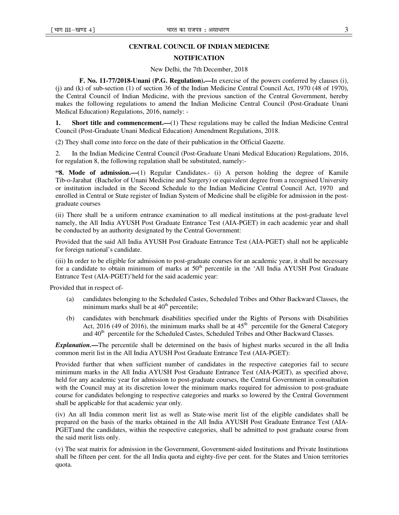# **CENTRAL COUNCIL OF INDIAN MEDICINE**

## **NOTIFICATION**

New Delhi, the 7th December, 2018

**F. No. 11-77/2018-Unani (P.G. Regulation).—**In exercise of the powers conferred by clauses (i), (j) and (k) of sub-section (1) of section 36 of the Indian Medicine Central Council Act, 1970 (48 of 1970), the Central Council of Indian Medicine, with the previous sanction of the Central Government, hereby makes the following regulations to amend the Indian Medicine Central Council (Post-Graduate Unani Medical Education) Regulations, 2016, namely: -

**1.** Short title and commencement.—(1) These regulations may be called the Indian Medicine Central Council (Post-Graduate Unani Medical Education) Amendment Regulations, 2018.

(2) They shall come into force on the date of their publication in the Official Gazette.

2. In the Indian Medicine Central Council (Post-Graduate Unani Medical Education) Regulations, 2016, for regulation 8, the following regulation shall be substituted, namely:-

**"8. Mode of admission.—**(1) Regular Candidates.- (i) A person holding the degree of Kamile Tib-o-Jarahat (Bachelor of Unani Medicine and Surgery) or equivalent degree from a recognised University or institution included in the Second Schedule to the Indian Medicine Central Council Act, 1970 and enrolled in Central or State register of Indian System of Medicine shall be eligible for admission in the postgraduate courses

(ii) There shall be a uniform entrance examination to all medical institutions at the post-graduate level namely, the All India AYUSH Post Graduate Entrance Test (AIA-PGET) in each academic year and shall be conducted by an authority designated by the Central Government:

Provided that the said All India AYUSH Post Graduate Entrance Test (AIA-PGET) shall not be applicable for foreign national's candidate.

(iii) In order to be eligible for admission to post-graduate courses for an academic year, it shall be necessary for a candidate to obtain minimum of marks at  $50<sup>th</sup>$  percentile in the 'All India AYUSH Post Graduate Entrance Test (AIA-PGET)'held for the said academic year:

Provided that in respect of-

- (a) candidates belonging to the Scheduled Castes, Scheduled Tribes and Other Backward Classes, the minimum marks shall be at  $40<sup>th</sup>$  percentile;
- (b) candidates with benchmark disabilities specified under the Rights of Persons with Disabilities Act, 2016 (49 of 2016), the minimum marks shall be at  $45<sup>th</sup>$  percentile for the General Category and 40<sup>th</sup> percentile for the Scheduled Castes, Scheduled Tribes and Other Backward Classes.

*Explanation.—*The percentile shall be determined on the basis of highest marks secured in the all India common merit list in the All India AYUSH Post Graduate Entrance Test (AIA-PGET):

Provided further that when sufficient number of candidates in the respective categories fail to secure minimum marks in the All India AYUSH Post Graduate Entrance Test (AIA-PGET), as specified above, held for any academic year for admission to post-graduate courses, the Central Government in consultation with the Council may at its discretion lower the minimum marks required for admission to post-graduate course for candidates belonging to respective categories and marks so lowered by the Central Government shall be applicable for that academic year only.

(iv) An all India common merit list as well as State-wise merit list of the eligible candidates shall be prepared on the basis of the marks obtained in the All India AYUSH Post Graduate Entrance Test (AIA-PGET)and the candidates, within the respective categories, shall be admitted to post graduate course from the said merit lists only.

(v) The seat matrix for admission in the Government, Government-aided Institutions and Private Institutions shall be fifteen per cent. for the all India quota and eighty-five per cent. for the States and Union territories quota.